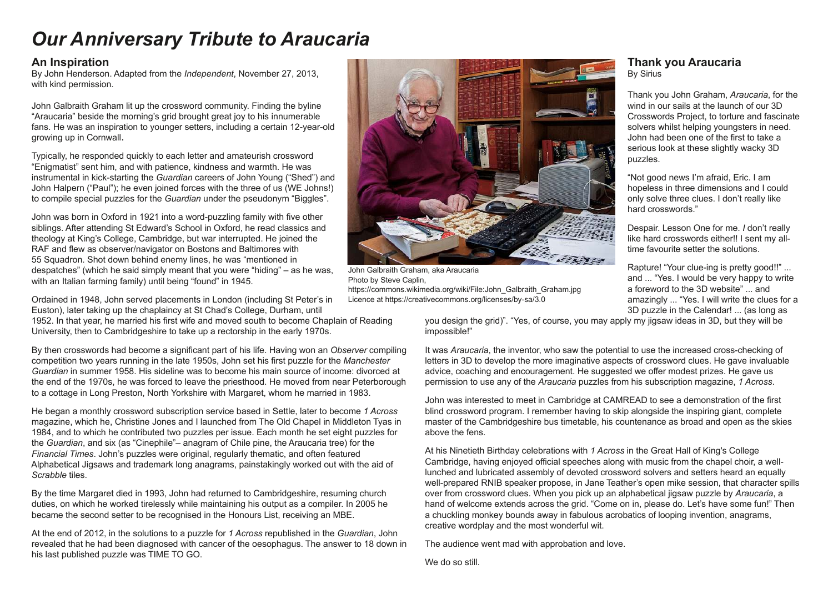# *Our Anniversary Tribute to Araucaria*

#### **An Inspiration**

By John Henderson. Adapted from the *Independent*, November 27, 2013, with kind permission.

John Galbraith Graham lit up the crossword community. Finding the byline "Araucaria" beside the morning's grid brought great joy to his innumerable fans. He was an inspiration to younger setters, including a certain 12-year-old growing up in Cornwall.

Typically, he responded quickly to each letter and amateurish crossword "Enigmatist" sent him, and with patience, kindness and warmth. He was instrumental in kick-starting the *Guardian* careers of John Young ("Shed") and John Halpern ("Paul"); he even joined forces with the three of us (WE Johns!) to compile special puzzles for the *Guardian* under the pseudonym "Biggles".

John was born in Oxford in 1921 into a word-puzzling family with five other siblings. After attending St Edward's School in Oxford, he read classics and theology at King's College, Cambridge, but war interrupted. He joined the RAF and flew as observer/navigator on Bostons and Baltimores with 55 Squadron. Shot down behind enemy lines, he was "mentioned in despatches" (which he said simply meant that you were "hiding" – as he was, with an Italian farming family) until being "found" in 1945.

Ordained in 1948, John served placements in London (including St Peter's in Euston), later taking up the chaplaincy at St Chad's College, Durham, until

1952. In that year, he married his first wife and moved south to become Chaplain of Reading University, then to Cambridgeshire to take up a rectorship in the early 1970s.

By then crosswords had become a significant part of his life. Having won an *Observer* compiling competition two years running in the late 1950s, John set his first puzzle for the *Manchester Guardian* in summer 1958. His sideline was to become his main source of income: divorced at the end of the 1970s, he was forced to leave the priesthood. He moved from near Peterborough to a cottage in Long Preston, North Yorkshire with Margaret, whom he married in 1983.

He began a monthly crossword subscription service based in Settle, later to become *1 Across* magazine, which he, Christine Jones and I launched from The Old Chapel in Middleton Tyas in 1984, and to which he contributed two puzzles per issue. Each month he set eight puzzles for the *Guardian*, and six (as "Cinephile"– anagram of Chile pine, the Araucaria tree) for the *Financial Times*. John's puzzles were original, regularly thematic, and often featured Alphabetical Jigsaws and trademark long anagrams, painstakingly worked out with the aid of *Scrabble* tiles.

By the time Margaret died in 1993, John had returned to Cambridgeshire, resuming church duties, on which he worked tirelessly while maintaining his output as a compiler. In 2005 he became the second setter to be recognised in the Honours List, receiving an MBE.

At the end of 2012, in the solutions to a puzzle for *1 Across* republished in the *Guardian*, John revealed that he had been diagnosed with cancer of the oesophagus. The answer to 18 down in his last published puzzle was TIME TO GO.



John Galbraith Graham, aka Araucaria Photo by Steve Caplin, https://commons.wikimedia.org/wiki/File:John\_Galbraith\_Graham.jpg Licence at https://creativecommons.org/licenses/by-sa/3.0

#### **Thank you Araucaria** By Sirius

Thank you John Graham, *Araucaria*, for the wind in our sails at the launch of our 3D Crosswords Project, to torture and fascinate solvers whilst helping youngsters in need. John had been one of the first to take a serious look at these slightly wacky 3D puzzles.

"Not good news I'm afraid, Eric. I am hopeless in three dimensions and I could only solve three clues. I don't really like hard crosswords."

Despair. Lesson One for me. *I* don't really like hard crosswords either!! I sent my alltime favourite setter the solutions.

Rapture! "Your clue-ing is pretty good!!" ... and ... "Yes. I would be very happy to write a foreword to the 3D website" ... and amazingly ... "Yes. I will write the clues for a 3D puzzle in the Calendar! ... (as long as

you design the grid)". "Yes, of course, you may apply my jigsaw ideas in 3D, but they will be impossible!"

It was *Araucaria*, the inventor, who saw the potential to use the increased cross-checking of letters in 3D to develop the more imaginative aspects of crossword clues. He gave invaluable advice, coaching and encouragement. He suggested we offer modest prizes. He gave us permission to use any of the *Araucaria* puzzles from his subscription magazine, *1 Across*.

John was interested to meet in Cambridge at CAMREAD to see a demonstration of the first blind crossword program. I remember having to skip alongside the inspiring giant, complete master of the Cambridgeshire bus timetable, his countenance as broad and open as the skies above the fens.

At his Ninetieth Birthday celebrations with *1 Across* in the Great Hall of King's College Cambridge, having enjoyed official speeches along with music from the chapel choir, a welllunched and lubricated assembly of devoted crossword solvers and setters heard an equally well-prepared RNIB speaker propose, in Jane Teather's open mike session, that character spills over from crossword clues. When you pick up an alphabetical jigsaw puzzle by *Araucaria*, a hand of welcome extends across the grid. "Come on in, please do. Let's have some fun!" Then a chuckling monkey bounds away in fabulous acrobatics of looping invention, anagrams, creative wordplay and the most wonderful wit.

The audience went mad with approbation and love.

We do so still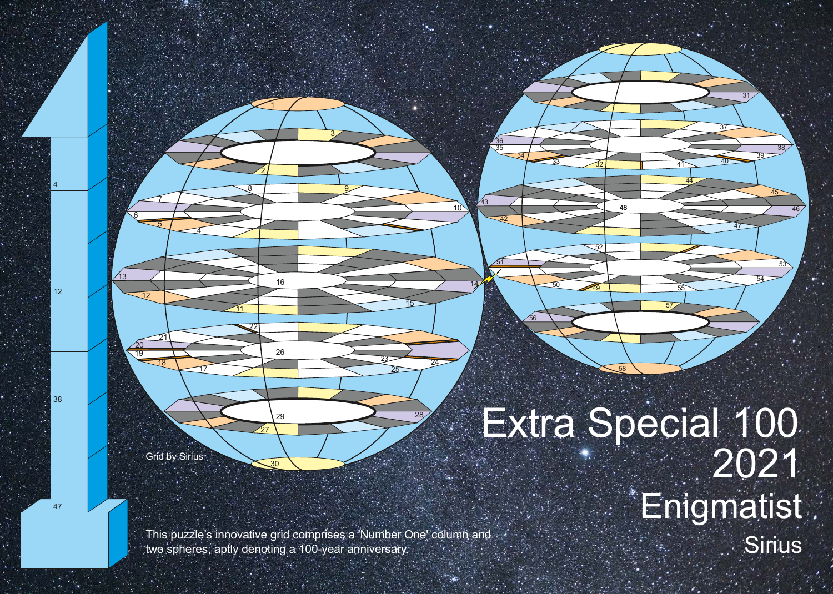Grid by Sirius

<u> 17</u>

<u>13</u>

 <u>20</u>

 $|47$ 

Extra Special 100 Enigmatist

This puzzle's innovative grid comprises a 'Number One' column and two spheres, aptly denoting a 100-year anniversary.

<u>10</u>

 $\frac{33}{32}$ 

<sup>49</sup>

 

<u>51</u>

 

 $\overline{28}$ 

 $\overline{\mathcal{A}}$ 

<u>11</u>

**Sirius** 

 $40$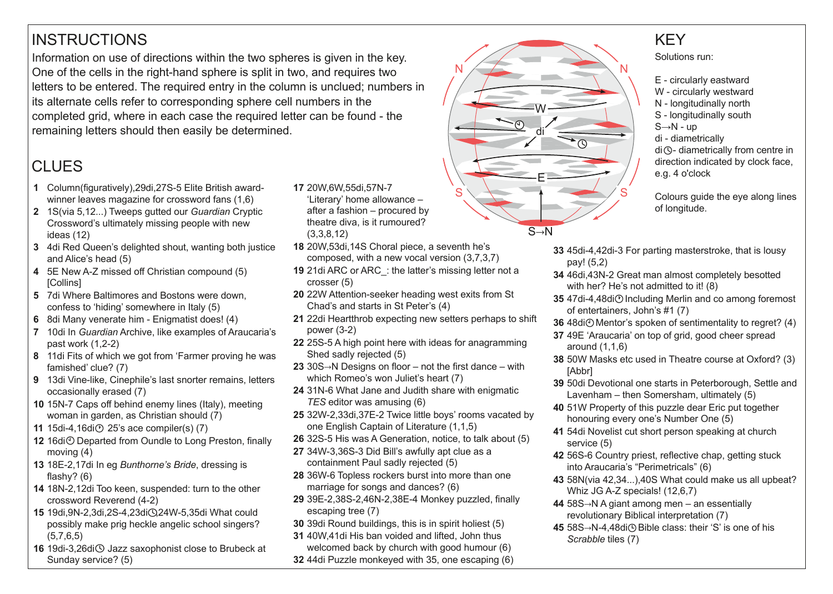## **INSTRUCTIONS**

Information on use of directions within the two spheres is given in the key. One of the cells in the right-hand sphere is split in two, and requires two letters to be entered. The required entry in the column is unclued; numbers in its alternate cells refer to corresponding sphere cell numbers in the completed grid, where in each case the required letter can be found - the remaining letters should then easily be determined.

## **CLUES**

- 1 Column(figuratively), 29di, 27S-5 Elite British awardwinner leaves magazine for crossword fans (1,6)
- **2** 1S(via 5,12...) Tweeps gutted our *Guardian* Cryptic Crossword's ultimately missing people with new ideas (12)
- **3** 4di Red Queen's delighted shout, wanting both justice and Alice's head (5)
- **4** 5E New A-Z missed off Christian compound (5) **[Collins]**
- **5** 7di Where Baltimores and Bostons were down, confess to 'hiding' somewhere in Italy (5)
- **6** 8di Many venerate him Enigmatist does! (4)
- **7** 10di In *Guardian* Archive, like examples of Araucaria's past work  $(1,2-2)$
- **8** 11di Fits of which we got from 'Farmer proving he was famished' clue? (7)
- **9** 13di Vine-like, Cinephile's last snorter remains, letters occasionally erased (7)
- **10** 15N-7 Caps off behind enemy lines (Italy), meeting woman in garden, as Christian should (7)
- **11** 15di-4,16di $\odot$  25's ace compiler(s) (7)
- 12 16di<sup> $\odot$ </sup> Departed from Oundle to Long Preston, finally moving (4)
- **13** 18E2,17di In eg *Bunthorne's Bride*, dressing is flashy? (6)
- 14 18N-2,12di Too keen, suspended: turn to the other crossword Reverend (42)
- 15 19di, 9N-2,3di, 2S-4, 23di  $Q$ , 24W-5, 35di What could possibly make prig heckle angelic school singers? (5,7,6,5)
- 16 19di-3,26di<sup>(</sup>O Jazz saxophonist close to Brubeck at Sunday service? (5)
- **17** 20W,6W,55di,57N-7 'Literary' home allowance – after a fashion – procured by theatre diva, is it rumoured? (3,3,8,12)
- **18** 20W,53di,14S Choral piece, a seventh he's composed, with a new vocal version (3,7,3,7)
- **19** 21di ARC or ARC\_: the latter's missing letter not a crosser (5)
- **20** 22W Attention-seeker heading west exits from St Chad's and starts in St Peter's (4)
- **21** 22di Heartthrob expecting new setters perhaps to shift power  $(3-2)$
- **22** 25S-5 A high point here with ideas for anagramming Shed sadly rejected (5)
- **23** 30S→N Designs on floor not the first dance with which Romeo's won Juliet's heart (7)
- **24** 31N-6 What Jane and Judith share with enigmatic *TES* editor was amusing (6)
- 25 32W-2,33di,37E-2 Twice little boys' rooms vacated by one English Captain of Literature (1,1,5)
- **26** 32S-5 His was A Generation, notice, to talk about (5)
- 27 34W-3,36S-3 Did Bill's awfully apt clue as a containment Paul sadly rejected (5)
- **28** 36W-6 Topless rockers burst into more than one marriage for songs and dances? (6)
- 29 39E-2,38S-2,46N-2,38E-4 Monkey puzzled, finally escaping tree (7)
- **30** 39di Round buildings, this is in spirit holiest (5)
- **31** 40W,41di His ban voided and lifted, John thus welcomed back by church with good humour (6)
- **32** 44di Puzzle monkeyed with 35, one escaping (6)



### **KFY**

Solutions run:

- E circularly eastward
- W circularly westward
- N longitudinally north
- S longitudinally south
- $S \rightarrow N -$ up
- di diametrically

 $di$   $\Diamond$ - diametrically from centre in direction indicated by clock face, e.g. 4 o'clock

Colours guide the eye along lines of longitude.

- **33** 45di-4,42di-3 For parting masterstroke, that is lousy pay! (5,2)
- **34** 46di, 43N-2 Great man almost completely besotted with her? He's not admitted to it! (8)
- **35** 47di-4,48di $\odot$  Including Merlin and co among foremost of entertainers, John's #1 (7)
- **36** 48di<sup> $\odot$ </sup> Mentor's spoken of sentimentality to regret? (4)
- **37** 49E 'Araucaria' on top of grid, good cheer spread around (1,1,6)
- **38** 50W Masks etc used in Theatre course at Oxford? (3) [Abbr]
- **39** 50di Devotional one starts in Peterborough, Settle and Lavenham – then Somersham, ultimately (5)
- **40** 51W Property of this puzzle dear Eric put together honouring every one's Number One (5)
- **41** 54di Novelist cut short person speaking at church service (5)
- **42** 56S-6 Country priest, reflective chap, getting stuck into Araucaria's "Perimetricals" (6)
- **43** 58N(via 42,34...),40S What could make us all upbeat? Whiz JG A-Z specials!  $(12,6,7)$
- **44** 58S→N A giant among men an essentially revolutionary Biblical interpretation (7)
- **45** 58S→N-4,48di<sup>(1</sup>) Bible class: their 'S' is one of his *Scrabble* tiles (7)